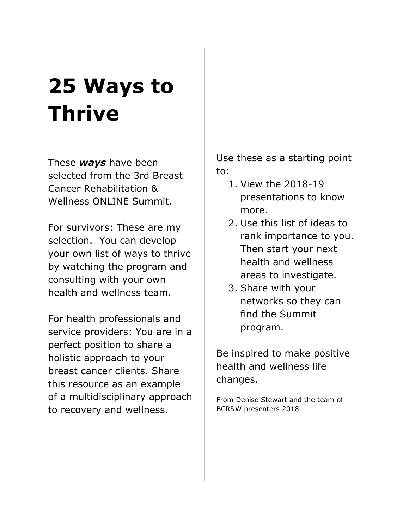# **25 Ways to Thrive**

These *ways* have been selected from the 3rd Breast Cancer Rehabilitation & Wellness ONLINE Summit.

For survivors: These are my selection. You can develop your own list of ways to thrive by watching the program and consulting with your own health and wellness team.

For health professionals and service providers: You are in a perfect position to share a holistic approach to your breast cancer clients. Share this resource as an example of a multidisciplinary approach to recovery and wellness.

Use these as a starting point to:

- 1. View the 2018-19 presentations to know more.
- 2. Use this list of ideas to rank importance to you. Then start your next health and wellness areas to investigate.
- 3. Share with your networks so they can find the Summit program.

Be inspired to make positive health and wellness life changes.

From Denise Stewart and the team of BCR&W presenters 2018.